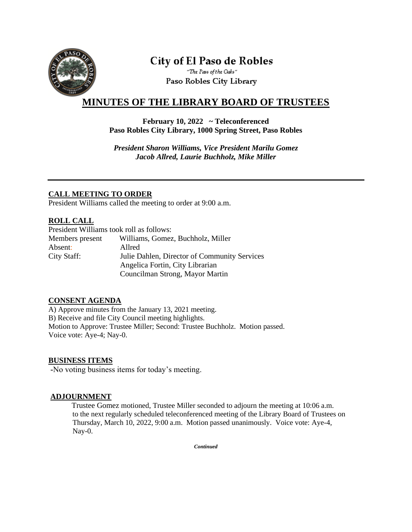

# **City of El Paso de Robles**

"The Pass of the Oaks" Paso Robles City Library

## **MINUTES OF THE LIBRARY BOARD OF TRUSTEES**

#### **February 10, 2022 ~ Teleconferenced Paso Robles City Library, 1000 Spring Street, Paso Robles**

*President Sharon Williams, Vice President Marilu Gomez Jacob Allred, Laurie Buchholz, Mike Miller*

### **CALL MEETING TO ORDER**

President Williams called the meeting to order at 9:00 a.m.

### **ROLL CALL**

| President Williams took roll as follows: |                                              |
|------------------------------------------|----------------------------------------------|
| Members present                          | Williams, Gomez, Buchholz, Miller            |
| Absent:                                  | Allred                                       |
| City Staff:                              | Julie Dahlen, Director of Community Services |
|                                          | Angelica Fortin, City Librarian              |
|                                          | Councilman Strong, Mayor Martin              |

### **CONSENT AGENDA**

A) Approve minutes from the January 13, 2021 meeting. B) Receive and file City Council meeting highlights. Motion to Approve: Trustee Miller; Second: Trustee Buchholz. Motion passed. Voice vote: Aye-4; Nay-0.

#### **BUSINESS ITEMS**

**-**No voting business items for today's meeting.

#### **ADJOURNMENT**

 Trustee Gomez motioned, Trustee Miller seconded to adjourn the meeting at 10:06 a.m. to the next regularly scheduled teleconferenced meeting of the Library Board of Trustees on Thursday, March 10, 2022, 9:00 a.m. Motion passed unanimously. Voice vote: Aye-4, Nay-0.

*Continued*